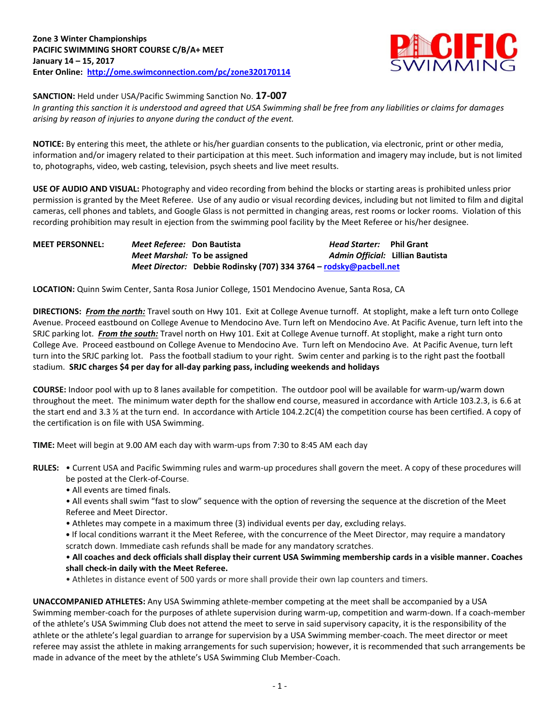

**SANCTION:** Held under USA/Pacific Swimming Sanction No. **17-007**

*In granting this sanction it is understood and agreed that USA Swimming shall be free from any liabilities or claims for damages arising by reason of injuries to anyone during the conduct of the event.*

**NOTICE:** By entering this meet, the athlete or his/her guardian consents to the publication, via electronic, print or other media, information and/or imagery related to their participation at this meet. Such information and imagery may include, but is not limited to, photographs, video, web casting, television, psych sheets and live meet results.

**USE OF AUDIO AND VISUAL:** Photography and video recording from behind the blocks or starting areas is prohibited unless prior permission is granted by the Meet Referee. Use of any audio or visual recording devices, including but not limited to film and digital cameras, cell phones and tablets, and Google Glass is not permitted in changing areas, rest rooms or locker rooms. Violation of this recording prohibition may result in ejection from the swimming pool facility by the Meet Referee or his/her designee.

| <b>MEET PERSONNEL:</b> | Meet Referee: Don Bautista |                                                                    | <i>Head Starter:</i> Phil Grant |                                  |
|------------------------|----------------------------|--------------------------------------------------------------------|---------------------------------|----------------------------------|
|                        |                            | Meet Marshal: To be assigned                                       |                                 | Admin Official: Lillian Bautista |
|                        |                            | Meet Director: Debbie Rodinsky (707) 334 3764 - rodsky@pacbell.net |                                 |                                  |

**LOCATION:** Quinn Swim Center, Santa Rosa Junior College, 1501 Mendocino Avenue, Santa Rosa, CA

**DIRECTIONS:** *From the north:* Travel south on Hwy 101. Exit at College Avenue turnoff. At stoplight, make a left turn onto College Avenue. Proceed eastbound on College Avenue to Mendocino Ave. Turn left on Mendocino Ave. At Pacific Avenue, turn left into the SRJC parking lot. *From the south:* Travel north on Hwy 101. Exit at College Avenue turnoff. At stoplight, make a right turn onto College Ave. Proceed eastbound on College Avenue to Mendocino Ave. Turn left on Mendocino Ave. At Pacific Avenue, turn left turn into the SRJC parking lot. Pass the football stadium to your right. Swim center and parking is to the right past the football stadium. **SRJC charges \$4 per day for all-day parking pass, including weekends and holidays**

**COURSE:** Indoor pool with up to 8 lanes available for competition. The outdoor pool will be available for warm-up/warm down throughout the meet. The minimum water depth for the shallow end course, measured in accordance with Article 103.2.3, is 6.6 at the start end and 3.3 % at the turn end. In accordance with Article 104.2.2C(4) the competition course has been certified. A copy of the certification is on file with USA Swimming.

**TIME:** Meet will begin at 9.00 AM each day with warm-ups from 7:30 to 8:45 AM each day

- **RULES:** Current USA and Pacific Swimming rules and warm-up procedures shall govern the meet. A copy of these procedures will be posted at the Clerk-of-Course.
	- All events are timed finals.
	- All events shall swim "fast to slow" sequence with the option of reversing the sequence at the discretion of the Meet Referee and Meet Director.
	- Athletes may compete in a maximum three (3) individual events per day, excluding relays.
	- **•** If local conditions warrant it the Meet Referee, with the concurrence of the Meet Director, may require a mandatory scratch down. Immediate cash refunds shall be made for any mandatory scratches.

• **All coaches and deck officials shall display their current USA Swimming membership cards in a visible manner. Coaches shall check-in daily with the Meet Referee.**

• Athletes in distance event of 500 yards or more shall provide their own lap counters and timers.

**UNACCOMPANIED ATHLETES:** Any USA Swimming athlete-member competing at the meet shall be accompanied by a USA Swimming member-coach for the purposes of athlete supervision during warm-up, competition and warm-down. If a coach-member of the athlete's USA Swimming Club does not attend the meet to serve in said supervisory capacity, it is the responsibility of the athlete or the athlete's legal guardian to arrange for supervision by a USA Swimming member-coach. The meet director or meet referee may assist the athlete in making arrangements for such supervision; however, it is recommended that such arrangements be made in advance of the meet by the athlete's USA Swimming Club Member-Coach.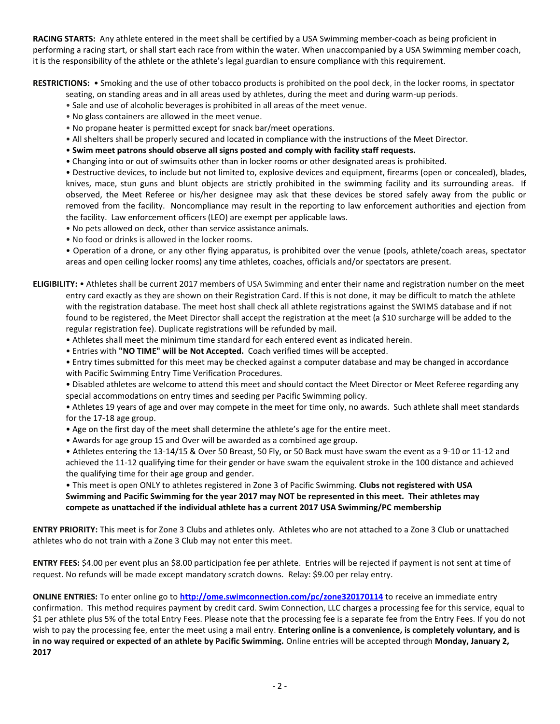**RACING STARTS:** Any athlete entered in the meet shall be certified by a USA Swimming member-coach as being proficient in performing a racing start, or shall start each race from within the water. When unaccompanied by a USA Swimming member coach, it is the responsibility of the athlete or the athlete's legal guardian to ensure compliance with this requirement.

**RESTRICTIONS:** • Smoking and the use of other tobacco products is prohibited on the pool deck, in the locker rooms, in spectator

- seating, on standing areas and in all areas used by athletes, during the meet and during warm-up periods.
- Sale and use of alcoholic beverages is prohibited in all areas of the meet venue.
- No glass containers are allowed in the meet venue.
- No propane heater is permitted except for snack bar/meet operations.
- All shelters shall be properly secured and located in compliance with the instructions of the Meet Director.
- **Swim meet patrons should observe all signs posted and comply with facility staff requests.**
- Changing into or out of swimsuits other than in locker rooms or other designated areas is prohibited.

• Destructive devices, to include but not limited to, explosive devices and equipment, firearms (open or concealed), blades, knives, mace, stun guns and blunt objects are strictly prohibited in the swimming facility and its surrounding areas. If observed, the Meet Referee or his/her designee may ask that these devices be stored safely away from the public or removed from the facility. Noncompliance may result in the reporting to law enforcement authorities and ejection from the facility. Law enforcement officers (LEO) are exempt per applicable laws.

- No pets allowed on deck, other than service assistance animals.
- No food or drinks is allowed in the locker rooms.

• Operation of a drone, or any other flying apparatus, is prohibited over the venue (pools, athlete/coach areas, spectator areas and open ceiling locker rooms) any time athletes, coaches, officials and/or spectators are present.

**ELIGIBILITY:** • Athletes shall be current 2017 members of USA Swimming and enter their name and registration number on the meet entry card exactly as they are shown on their Registration Card. If this is not done, it may be difficult to match the athlete with the registration database. The meet host shall check all athlete registrations against the SWIMS database and if not found to be registered, the Meet Director shall accept the registration at the meet (a \$10 surcharge will be added to the regular registration fee). Duplicate registrations will be refunded by mail.

- Athletes shall meet the minimum time standard for each entered event as indicated herein.
- Entries with **"NO TIME" will be Not Accepted.** Coach verified times will be accepted.

• Entry times submitted for this meet may be checked against a computer database and may be changed in accordance with Pacific Swimming Entry Time Verification Procedures.

• Disabled athletes are welcome to attend this meet and should contact the Meet Director or Meet Referee regarding any special accommodations on entry times and seeding per Pacific Swimming policy.

• Athletes 19 years of age and over may compete in the meet for time only, no awards. Such athlete shall meet standards for the 17-18 age group.

- Age on the first day of the meet shall determine the athlete's age for the entire meet.
- Awards for age group 15 and Over will be awarded as a combined age group.

• Athletes entering the 13-14/15 & Over 50 Breast, 50 Fly, or 50 Back must have swam the event as a 9-10 or 11-12 and achieved the 11-12 qualifying time for their gender or have swam the equivalent stroke in the 100 distance and achieved the qualifying time for their age group and gender.

• This meet is open ONLY to athletes registered in Zone 3 of Pacific Swimming. **Clubs not registered with USA Swimming and Pacific Swimming for the year 2017 may NOT be represented in this meet. Their athletes may compete as unattached if the individual athlete has a current 2017 USA Swimming/PC membership**

**ENTRY PRIORITY:** This meet is for Zone 3 Clubs and athletes only. Athletes who are not attached to a Zone 3 Club or unattached athletes who do not train with a Zone 3 Club may not enter this meet.

**ENTRY FEES:** \$4.00 per event plus an \$8.00 participation fee per athlete. Entries will be rejected if payment is not sent at time of request. No refunds will be made except mandatory scratch downs. Relay: \$9.00 per relay entry.

**ONLINE ENTRIES:** To enter online go to **<http://ome.swimconnection.com/pc/zone320170114>** to receive an immediate entry confirmation. This method requires payment by credit card. Swim Connection, LLC charges a processing fee for this service, equal to \$1 per athlete plus 5% of the total Entry Fees. Please note that the processing fee is a separate fee from the Entry Fees. If you do not wish to pay the processing fee, enter the meet using a mail entry. **Entering online is a convenience, is completely voluntary, and is in no way required or expected of an athlete by Pacific Swimming.** Online entries will be accepted through **Monday, January 2, 2017**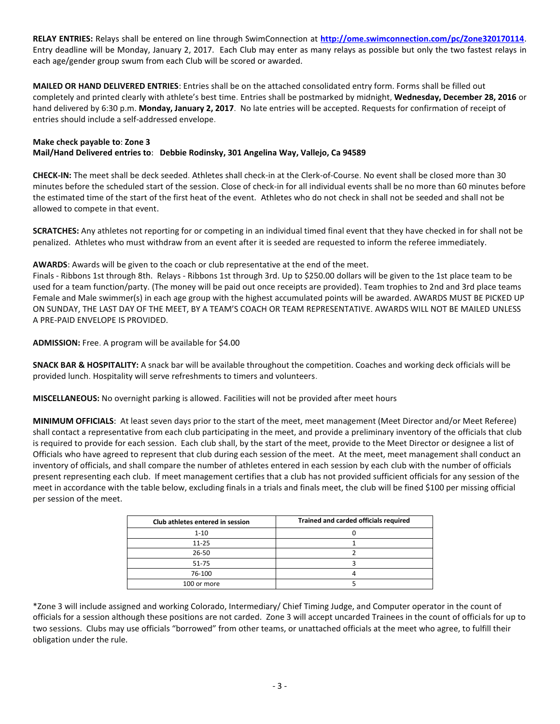**RELAY ENTRIES:** Relays shall be entered on line through SwimConnection at **<http://ome.swimconnection.com/pc/Zone320170114>**. Entry deadline will be Monday, January 2, 2017. Each Club may enter as many relays as possible but only the two fastest relays in each age/gender group swum from each Club will be scored or awarded.

**MAILED OR HAND DELIVERED ENTRIES**: Entries shall be on the attached consolidated entry form. Forms shall be filled out completely and printed clearly with athlete's best time. Entries shall be postmarked by midnight, **Wednesday, December 28, 2016** or hand delivered by 6:30 p.m. **Monday, January 2, 2017**. No late entries will be accepted. Requests for confirmation of receipt of entries should include a self-addressed envelope.

## **Make check payable to**: **Zone 3 Mail/Hand Delivered entries to**: **Debbie Rodinsky, 301 Angelina Way, Vallejo, Ca 94589**

**CHECK-IN:** The meet shall be deck seeded. Athletes shall check-in at the Clerk-of-Course. No event shall be closed more than 30 minutes before the scheduled start of the session. Close of check-in for all individual events shall be no more than 60 minutes before the estimated time of the start of the first heat of the event. Athletes who do not check in shall not be seeded and shall not be allowed to compete in that event.

**SCRATCHES:** Any athletes not reporting for or competing in an individual timed final event that they have checked in for shall not be penalized. Athletes who must withdraw from an event after it is seeded are requested to inform the referee immediately.

**AWARDS**: Awards will be given to the coach or club representative at the end of the meet.

Finals - Ribbons 1st through 8th. Relays - Ribbons 1st through 3rd. Up to \$250.00 dollars will be given to the 1st place team to be used for a team function/party. (The money will be paid out once receipts are provided). Team trophies to 2nd and 3rd place teams Female and Male swimmer(s) in each age group with the highest accumulated points will be awarded. AWARDS MUST BE PICKED UP ON SUNDAY, THE LAST DAY OF THE MEET, BY A TEAM'S COACH OR TEAM REPRESENTATIVE. AWARDS WILL NOT BE MAILED UNLESS A PRE-PAID ENVELOPE IS PROVIDED.

**ADMISSION:** Free. A program will be available for \$4.00

**SNACK BAR & HOSPITALITY:** A snack bar will be available throughout the competition. Coaches and working deck officials will be provided lunch. Hospitality will serve refreshments to timers and volunteers.

**MISCELLANEOUS:** No overnight parking is allowed. Facilities will not be provided after meet hours

**MINIMUM OFFICIALS**: At least seven days prior to the start of the meet, meet management (Meet Director and/or Meet Referee) shall contact a representative from each club participating in the meet, and provide a preliminary inventory of the officials that club is required to provide for each session. Each club shall, by the start of the meet, provide to the Meet Director or designee a list of Officials who have agreed to represent that club during each session of the meet. At the meet, meet management shall conduct an inventory of officials, and shall compare the number of athletes entered in each session by each club with the number of officials present representing each club. If meet management certifies that a club has not provided sufficient officials for any session of the meet in accordance with the table below, excluding finals in a trials and finals meet, the club will be fined \$100 per missing official per session of the meet.

| Club athletes entered in session | Trained and carded officials required |
|----------------------------------|---------------------------------------|
| $1 - 10$                         |                                       |
| $11 - 25$                        |                                       |
| 26-50                            |                                       |
| 51-75                            |                                       |
| 76-100                           |                                       |
| 100 or more                      |                                       |

\*Zone 3 will include assigned and working Colorado, Intermediary/ Chief Timing Judge, and Computer operator in the count of officials for a session although these positions are not carded. Zone 3 will accept uncarded Trainees in the count of officials for up to two sessions. Clubs may use officials "borrowed" from other teams, or unattached officials at the meet who agree, to fulfill their obligation under the rule.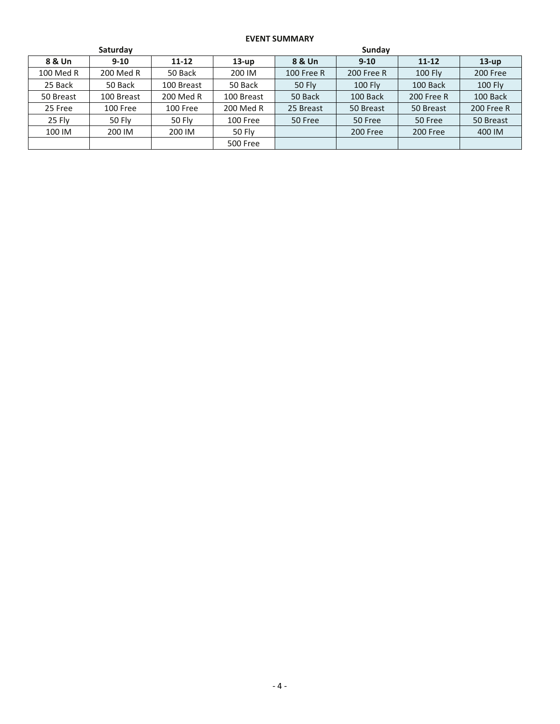## **EVENT SUMMARY**

| Saturday  |               |            |                 | Sunday            |            |            |                |  |
|-----------|---------------|------------|-----------------|-------------------|------------|------------|----------------|--|
| 8 & Un    | $9 - 10$      | $11 - 12$  | $13-up$         | 8 & Un            | $9 - 10$   | $11 - 12$  | $13-up$        |  |
| 100 Med R | 200 Med R     | 50 Back    | 200 IM          | <b>100 Free R</b> | 200 Free R | 100 Fly    | 200 Free       |  |
| 25 Back   | 50 Back       | 100 Breast | 50 Back         | <b>50 Fly</b>     | 100 Fly    | 100 Back   | <b>100 Fly</b> |  |
| 50 Breast | 100 Breast    | 200 Med R  | 100 Breast      | 50 Back           | 100 Back   | 200 Free R | 100 Back       |  |
| 25 Free   | 100 Free      | 100 Free   | 200 Med R       | 25 Breast         | 50 Breast  | 50 Breast  | 200 Free R     |  |
| 25 Fly    | <b>50 Fly</b> | 50 Fly     | 100 Free        | 50 Free           | 50 Free    | 50 Free    | 50 Breast      |  |
| 100 IM    | 200 IM        | 200 IM     | <b>50 Fly</b>   |                   | 200 Free   | 200 Free   | 400 IM         |  |
|           |               |            | <b>500 Free</b> |                   |            |            |                |  |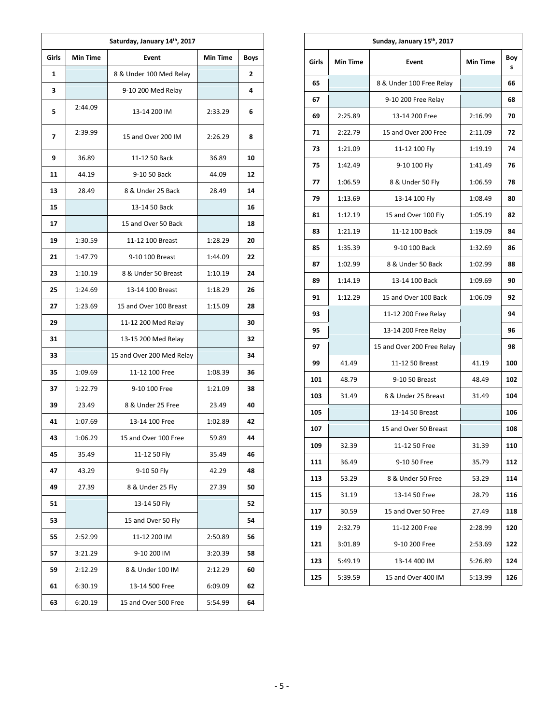| Saturday, January 14th, 2017 |                 |                           |                 |             |  |  |  |
|------------------------------|-----------------|---------------------------|-----------------|-------------|--|--|--|
| Girls                        | <b>Min Time</b> | Event                     | <b>Min Time</b> | <b>Boys</b> |  |  |  |
| 1                            |                 | 8 & Under 100 Med Relay   |                 | 2           |  |  |  |
| 3                            |                 | 9-10 200 Med Relay        |                 | 4           |  |  |  |
| 5                            | 2:44.09         | 13-14 200 IM              | 2:33.29         | 6           |  |  |  |
| 7                            | 2:39.99         | 15 and Over 200 IM        | 2:26.29         | 8           |  |  |  |
| 9                            | 36.89           | 11-12 50 Back             | 36.89           | 10          |  |  |  |
| 11                           | 44.19           | 9-10 50 Back              | 44.09           | 12          |  |  |  |
| 13                           | 28.49           | 8 & Under 25 Back         | 28.49           | 14          |  |  |  |
| 15                           |                 | 13-14 50 Back             |                 | 16          |  |  |  |
| 17                           |                 | 15 and Over 50 Back       |                 | 18          |  |  |  |
| 19                           | 1:30.59         | 11-12 100 Breast          | 1:28.29         | 20          |  |  |  |
| 21                           | 1:47.79         | 9-10 100 Breast           | 1:44.09         | 22          |  |  |  |
| 23                           | 1:10.19         | 8 & Under 50 Breast       | 1:10.19         | 24          |  |  |  |
| 25                           | 1:24.69         | 13-14 100 Breast          | 1:18.29         | 26          |  |  |  |
| 27                           | 1:23.69         | 15 and Over 100 Breast    | 1:15.09         | 28          |  |  |  |
| 29                           |                 | 11-12 200 Med Relay       |                 | 30          |  |  |  |
| 31                           |                 | 13-15 200 Med Relay       |                 | 32          |  |  |  |
| 33                           |                 | 15 and Over 200 Med Relay |                 | 34          |  |  |  |
| 35                           | 1:09.69         | 11-12 100 Free            | 1:08.39         | 36          |  |  |  |
| 37                           | 1:22.79         | 9-10 100 Free             | 1:21.09         | 38          |  |  |  |
| 39                           | 23.49           | 8 & Under 25 Free         | 23.49           | 40          |  |  |  |
| 41                           | 1:07.69         | 13-14 100 Free            | 1:02.89         | 42          |  |  |  |
| 43                           | 1:06.29         | 15 and Over 100 Free      | 59.89           | 44          |  |  |  |
| 45                           | 35.49           | 11-12 50 Fly              | 35.49           | 46          |  |  |  |
| 47                           | 43.29           | 9-10 50 Fly               | 42.29           | 48          |  |  |  |
| 49                           | 27.39           | 8 & Under 25 Fly          | 27.39           | 50          |  |  |  |
| 51                           |                 | 13-14 50 Fly              |                 | 52          |  |  |  |
| 53                           |                 | 15 and Over 50 Fly        |                 | 54          |  |  |  |
| 55                           | 2:52.99         | 11-12 200 IM              | 2:50.89         | 56          |  |  |  |
| 57                           | 3:21.29         | 9-10 200 IM               | 3:20.39         | 58          |  |  |  |
| 59                           | 2:12.29         | 8 & Under 100 IM          | 2:12.29         | 60          |  |  |  |
| 61                           | 6:30.19         | 13-14 500 Free            | 6:09.09         | 62          |  |  |  |
| 63                           | 6:20.19         | 15 and Over 500 Free      | 5:54.99         | 64          |  |  |  |

| Sunday, January 15th, 2017 |                 |                            |                 |          |  |  |  |
|----------------------------|-----------------|----------------------------|-----------------|----------|--|--|--|
| Girls                      | <b>Min Time</b> | Event                      | <b>Min Time</b> | Boy<br>S |  |  |  |
| 65                         |                 | 8 & Under 100 Free Relay   |                 | 66       |  |  |  |
| 67                         |                 | 9-10 200 Free Relay        |                 | 68       |  |  |  |
| 69                         | 2:25.89         | 13-14 200 Free             | 2:16.99         | 70       |  |  |  |
| 71                         | 2:22.79         | 15 and Over 200 Free       | 2:11.09         | 72       |  |  |  |
| 73                         | 1:21.09         | 11-12 100 Fly              | 1:19.19         | 74       |  |  |  |
| 75                         | 1:42.49         | 9-10 100 Fly               | 1:41.49         | 76       |  |  |  |
| 77                         | 1:06.59         | 8 & Under 50 Fly           | 1:06.59         | 78       |  |  |  |
| 79                         | 1:13.69         | 13-14 100 Fly              | 1:08.49         | 80       |  |  |  |
| 81                         | 1:12.19         | 15 and Over 100 Fly        | 1:05.19         | 82       |  |  |  |
| 83                         | 1:21.19         | 11-12 100 Back             | 1:19.09         | 84       |  |  |  |
| 85                         | 1:35.39         | 9-10 100 Back              | 1:32.69         | 86       |  |  |  |
| 87                         | 1:02.99         | 8 & Under 50 Back          | 1:02.99         | 88       |  |  |  |
| 89                         | 1:14.19         | 13-14 100 Back             | 1:09.69         | 90       |  |  |  |
| 91                         | 1:12.29         | 15 and Over 100 Back       | 1:06.09         | 92       |  |  |  |
| 93                         |                 | 11-12 200 Free Relay       |                 | 94       |  |  |  |
| 95                         |                 | 13-14 200 Free Relay       |                 | 96       |  |  |  |
| 97                         |                 | 15 and Over 200 Free Relay |                 | 98       |  |  |  |
| 99                         | 41.49           | 11-12 50 Breast            | 41.19           | 100      |  |  |  |
| 101                        | 48.79           | 9-10 50 Breast             | 48.49           | 102      |  |  |  |
| 103                        | 31.49           | 8 & Under 25 Breast        | 31.49           | 104      |  |  |  |
| 105                        |                 | 13-14 50 Breast            |                 | 106      |  |  |  |
| 107                        |                 | 15 and Over 50 Breast      |                 | 108      |  |  |  |
| 109                        | 32.39           | 11-12 50 Free              | 31.39           | 110      |  |  |  |
| 111                        | 36.49           | 9-10 50 Free               | 35.79           | 112      |  |  |  |
| 113                        | 53.29           | 8 & Under 50 Free          | 53.29           | 114      |  |  |  |
| 115                        | 31.19           | 13-14 50 Free              | 28.79           | 116      |  |  |  |
| 117                        | 30.59           | 15 and Over 50 Free        | 27.49           | 118      |  |  |  |
| 119                        | 2:32.79         | 11-12 200 Free             | 2:28.99         | 120      |  |  |  |
| 121                        | 3:01.89         | 9-10 200 Free              | 2:53.69         | 122      |  |  |  |
| 123                        | 5:49.19         | 13-14 400 IM               | 5:26.89         | 124      |  |  |  |
| 125                        | 5:39.59         | 15 and Over 400 IM         | 5:13.99         | 126      |  |  |  |
|                            |                 |                            |                 |          |  |  |  |